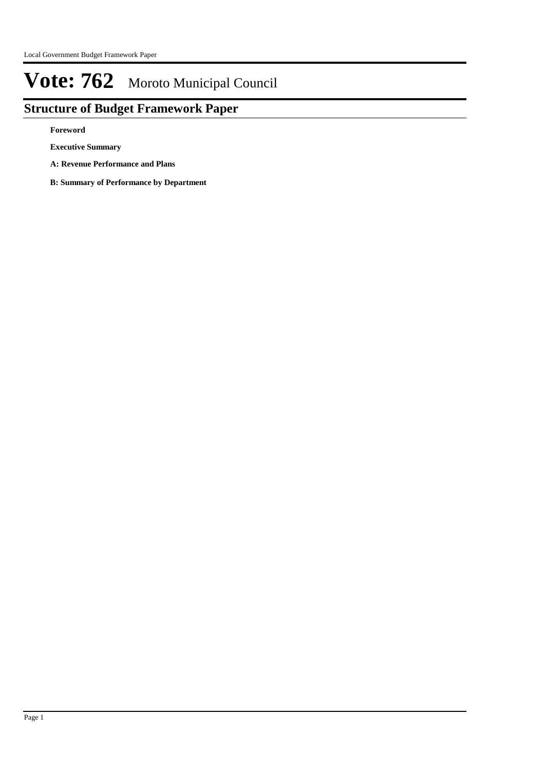# **Structure of Budget Framework Paper**

**Foreword**

**Executive Summary**

**A: Revenue Performance and Plans**

**B: Summary of Performance by Department**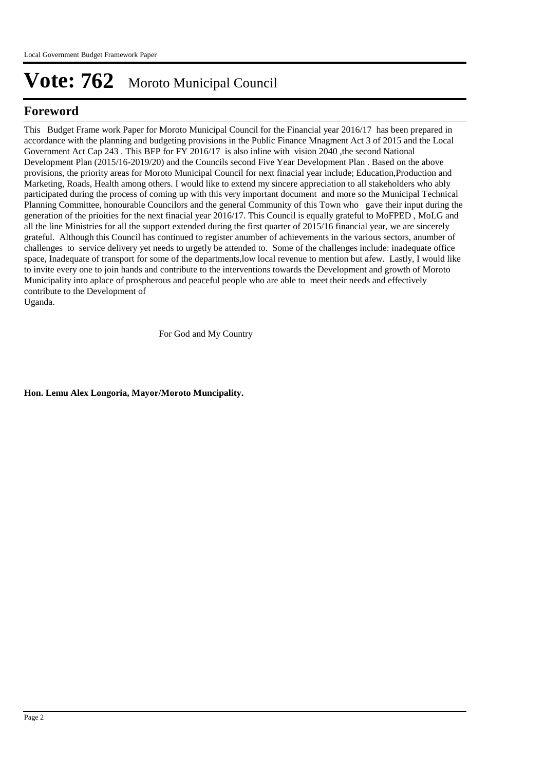# **Foreword**

This Budget Frame work Paper for Moroto Municipal Council for the Financial year 2016/17 has been prepared in accordance with the planning and budgeting provisions in the Public Finance Mnagment Act 3 of 2015 and the Local Government Act Cap 243 . This BFP for FY 2016/17 is also inline with vision 2040, the second National Development Plan (2015/16-2019/20) and the Councils second Five Year Development Plan . Based on the above provisions, the priority areas for Moroto Municipal Council for next finacial year include; Education,Production and Marketing, Roads, Health among others. I would like to extend my sincere appreciation to all stakeholders who ably participated during the process of coming up with this very important document and more so the Municipal Technical Planning Committee, honourable Councilors and the general Community of this Town who gave their input during the generation of the prioities for the next finacial year 2016/17. This Council is equally grateful to MoFPED , MoLG and all the line Ministries for all the support extended during the first quarter of 2015/16 financial year, we are sincerely grateful. Although this Council has continued to register anumber of achievements in the various sectors, anumber of challenges to service delivery yet needs to urgetly be attended to. Some of the challenges include: inadequate office space, Inadequate of transport for some of the departments,low local revenue to mention but afew. Lastly, I would like to invite every one to join hands and contribute to the interventions towards the Development and growth of Moroto Municipality into aplace of prospherous and peaceful people who are able to meet their needs and effectively contribute to the Development of Uganda.

For God and My Country

**Hon. Lemu Alex Longoria, Mayor/Moroto Muncipality.**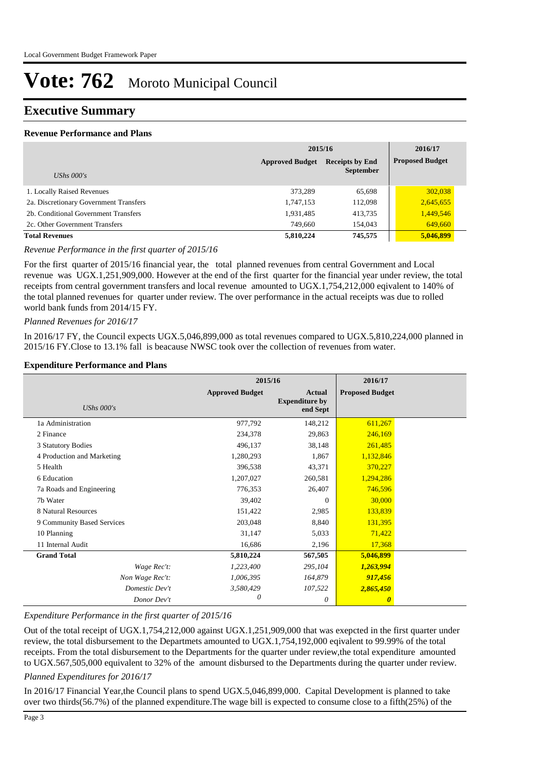# **Executive Summary**

## **Revenue Performance and Plans**

|                                        | 2015/16                |                                            | 2016/17                |  |
|----------------------------------------|------------------------|--------------------------------------------|------------------------|--|
| UShs $000's$                           | <b>Approved Budget</b> | <b>Receipts by End</b><br><b>September</b> | <b>Proposed Budget</b> |  |
|                                        |                        |                                            |                        |  |
| 1. Locally Raised Revenues             | 373.289                | 65,698                                     | 302,038                |  |
| 2a. Discretionary Government Transfers | 1,747,153              | 112,098                                    | 2,645,655              |  |
| 2b. Conditional Government Transfers   | 1,931,485              | 413,735                                    | 1,449,546              |  |
| 2c. Other Government Transfers         | 749,660                | 154,043                                    | 649,660                |  |
| <b>Total Revenues</b>                  | 5,810,224              | 745,575                                    | 5,046,899              |  |

*Revenue Performance in the first quarter of 2015/16*

For the first quarter of 2015/16 financial year, the total planned revenues from central Government and Local revenue was UGX.1,251,909,000. However at the end of the first quarter for the financial year under review, the total receipts from central government transfers and local revenue amounted to UGX.1,754,212,000 eqivalent to 140% of the total planned revenues for quarter under review. The over performance in the actual receipts was due to rolled world bank funds from 2014/15 FY.

#### *Planned Revenues for 2016/17*

In 2016/17 FY, the Council expects UGX.5,046,899,000 as total revenues compared to UGX.5,810,224,000 planned in 2015/16 FY.Close to 13.1% fall is beacause NWSC took over the collection of revenues from water.

#### **Expenditure Performance and Plans**

|                            | 2015/16                |                                                    | 2016/17                |  |
|----------------------------|------------------------|----------------------------------------------------|------------------------|--|
| <b>UShs 000's</b>          | <b>Approved Budget</b> | <b>Actual</b><br><b>Expenditure by</b><br>end Sept | <b>Proposed Budget</b> |  |
| 1a Administration          | 977,792                | 148,212                                            | 611,267                |  |
| 2 Finance                  | 234,378                | 29,863                                             | 246,169                |  |
| 3 Statutory Bodies         | 496,137                | 38,148                                             | 261,485                |  |
| 4 Production and Marketing | 1,280,293              | 1,867                                              | 1,132,846              |  |
| 5 Health                   | 396,538                | 43,371                                             | 370,227                |  |
| 6 Education                | 1,207,027              | 260,581                                            | 1,294,286              |  |
| 7a Roads and Engineering   | 776,353                | 26,407                                             | 746,596                |  |
| 7b Water                   | 39,402                 | $\Omega$                                           | 30,000                 |  |
| 8 Natural Resources        | 151,422                | 2,985                                              | 133,839                |  |
| 9 Community Based Services | 203,048                | 8,840                                              | 131,395                |  |
| 10 Planning                | 31,147                 | 5,033                                              | 71,422                 |  |
| 11 Internal Audit          | 16,686                 | 2,196                                              | 17,368                 |  |
| <b>Grand Total</b>         | 5,810,224              | 567,505                                            | 5,046,899              |  |
| Wage Rec't:                | 1,223,400              | 295,104                                            | 1,263,994              |  |
| Non Wage Rec't:            | 1,006,395              | 164,879                                            | 917,456                |  |
| Domestic Dev't             | 3,580,429              | 107,522                                            | 2,865,450              |  |
| Donor Dev't                | 0                      | $\theta$                                           | $\boldsymbol{\theta}$  |  |

## *Expenditure Performance in the first quarter of 2015/16*

Out of the total receipt of UGX.1,754,212,000 against UGX.1,251,909,000 that was exepcted in the first quarter under review, the total disbursement to the Departmets amounted to UGX.1,754,192,000 eqivalent to 99.99% of the total receipts. From the total disbursement to the Departments for the quarter under review,the total expenditure amounted to UGX.567,505,000 equivalent to 32% of the amount disbursed to the Departments during the quarter under review.

## *Planned Expenditures for 2016/17*

In 2016/17 Financial Year,the Council plans to spend UGX.5,046,899,000. Capital Development is planned to take over two thirds(56.7%) of the planned expenditure.The wage bill is expected to consume close to a fifth(25%) of the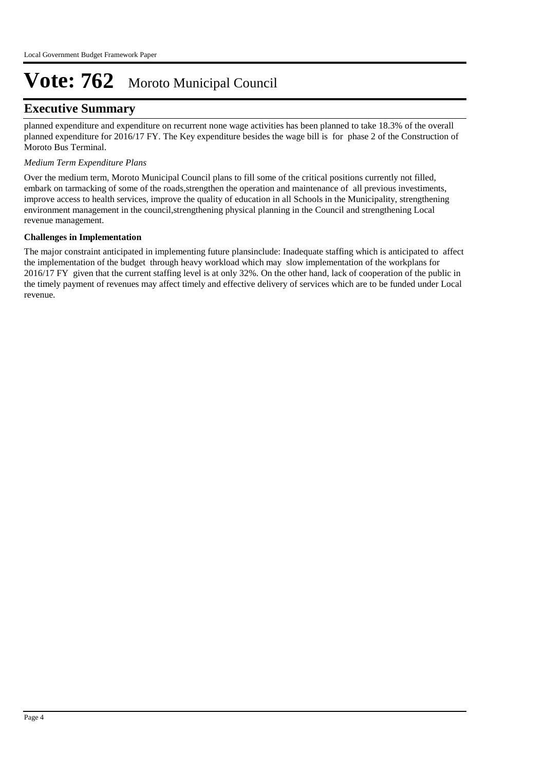# **Executive Summary**

planned expenditure and expenditure on recurrent none wage activities has been planned to take 18.3% of the overall planned expenditure for 2016/17 FY. The Key expenditure besides the wage bill is for phase 2 of the Construction of Moroto Bus Terminal.

## *Medium Term Expenditure Plans*

Over the medium term, Moroto Municipal Council plans to fill some of the critical positions currently not filled, embark on tarmacking of some of the roads,strengthen the operation and maintenance of all previous investiments, improve access to health services, improve the quality of education in all Schools in the Municipality, strengthening environment management in the council,strengthening physical planning in the Council and strengthening Local revenue management.

## **Challenges in Implementation**

The major constraint anticipated in implementing future plansinclude: Inadequate staffing which is anticipated to affect the implementation of the budget through heavy workload which may slow implementation of the workplans for 2016/17 FY given that the current staffing level is at only 32%. On the other hand, lack of cooperation of the public in the timely payment of revenues may affect timely and effective delivery of services which are to be funded under Local revenue.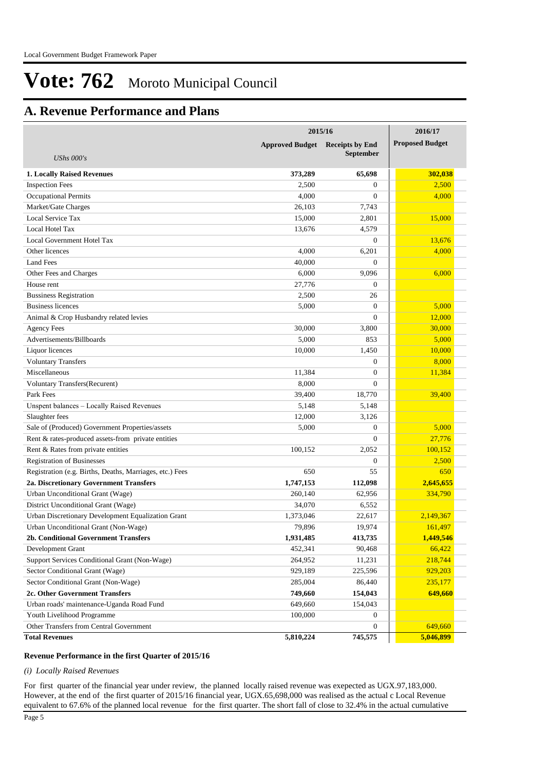# **A. Revenue Performance and Plans**

|                                                          | 2015/16                |                        | 2016/17                |
|----------------------------------------------------------|------------------------|------------------------|------------------------|
|                                                          | <b>Approved Budget</b> | <b>Receipts by End</b> | <b>Proposed Budget</b> |
| <b>UShs 000's</b>                                        |                        | <b>September</b>       |                        |
| <b>1. Locally Raised Revenues</b>                        | 373,289                | 65,698                 | 302,038                |
| <b>Inspection Fees</b>                                   | 2,500                  | 0                      | 2,500                  |
| <b>Occupational Permits</b>                              | 4,000                  | $\overline{0}$         | 4,000                  |
| Market/Gate Charges                                      | 26,103                 | 7,743                  |                        |
| Local Service Tax                                        | 15,000                 | 2,801                  | 15,000                 |
| Local Hotel Tax                                          | 13,676                 | 4,579                  |                        |
| Local Government Hotel Tax                               |                        | $\overline{0}$         | 13,676                 |
| Other licences                                           | 4,000                  | 6,201                  | 4,000                  |
| <b>Land Fees</b>                                         | 40,000                 | $\overline{0}$         |                        |
| Other Fees and Charges                                   | 6,000                  | 9,096                  | 6,000                  |
| House rent                                               | 27,776                 | $\theta$               |                        |
| <b>Bussiness Registration</b>                            | 2,500                  | 26                     |                        |
| <b>Business licences</b>                                 | 5,000                  | $\mathbf{0}$           | 5,000                  |
| Animal & Crop Husbandry related levies                   |                        | $\overline{0}$         | 12,000                 |
| <b>Agency Fees</b>                                       | 30,000                 | 3,800                  | 30,000                 |
| Advertisements/Billboards                                | 5,000                  | 853                    | 5,000                  |
| Liquor licences                                          | 10,000                 | 1,450                  | 10,000                 |
| <b>Voluntary Transfers</b>                               |                        | $\overline{0}$         | 8,000                  |
| Miscellaneous                                            | 11,384                 | $\overline{0}$         | 11,384                 |
| Voluntary Transfers(Recurent)                            | 8,000                  | $\overline{0}$         |                        |
| Park Fees                                                | 39,400                 | 18,770                 | 39,400                 |
| Unspent balances - Locally Raised Revenues               | 5,148                  | 5,148                  |                        |
| Slaughter fees                                           | 12,000                 | 3,126                  |                        |
| Sale of (Produced) Government Properties/assets          | 5,000                  | $\overline{0}$         | 5,000                  |
| Rent & rates-produced assets-from private entities       |                        | $\overline{0}$         | 27,776                 |
| Rent & Rates from private entities                       | 100,152                | 2,052                  | 100,152                |
| <b>Registration of Businesses</b>                        |                        | $\overline{0}$         | 2,500                  |
| Registration (e.g. Births, Deaths, Marriages, etc.) Fees | 650                    | 55                     | 650                    |
| 2a. Discretionary Government Transfers                   | 1,747,153              | 112,098                | 2,645,655              |
| Urban Unconditional Grant (Wage)                         | 260,140                | 62,956                 | 334,790                |
| District Unconditional Grant (Wage)                      | 34,070                 | 6,552                  |                        |
| Urban Discretionary Development Equalization Grant       | 1,373,046              | 22,617                 | 2,149,367              |
| Urban Unconditional Grant (Non-Wage)                     | 79,896                 | 19,974                 | 161,497                |
| 2b. Conditional Government Transfers                     | 1,931,485              | 413,735                | 1,449,546              |
| Development Grant                                        | 452,341                | 90,468                 | 66,422                 |
| Support Services Conditional Grant (Non-Wage)            | 264,952                | 11,231                 | 218,744                |
| Sector Conditional Grant (Wage)                          | 929,189                | 225,596                | 929,203                |
| Sector Conditional Grant (Non-Wage)                      | 285,004                | 86,440                 | 235,177                |
| 2c. Other Government Transfers                           | 749,660                | 154,043                | 649,660                |
| Urban roads' maintenance-Uganda Road Fund                | 649,660                | 154,043                |                        |
| Youth Livelihood Programme                               | 100,000                | 0                      |                        |
| Other Transfers from Central Government                  |                        | $\boldsymbol{0}$       | 649,660                |
| <b>Total Revenues</b>                                    | 5,810,224              | 745,575                | 5,046,899              |

#### **Revenue Performance in the first Quarter of 2015/16**

*(i) Locally Raised Revenues* 

For first quarter of the financial year under review, the planned locally raised revenue was exepected as UGX.97,183,000. However, at the end of the first quarter of 2015/16 financial year, UGX.65,698,000 was realised as the actual c Local Revenue equivalent to 67.6% of the planned local revenue for the first quarter. The short fall of close to 32.4% in the actual cumulative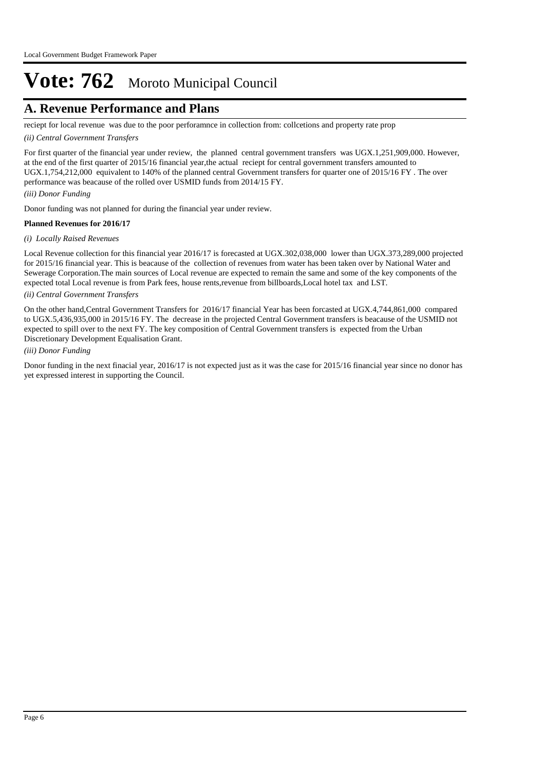# **A. Revenue Performance and Plans**

reciept for local revenue was due to the poor perforamnce in collection from: collcetions and property rate prop

#### *(ii) Central Government Transfers*

For first quarter of the financial year under review, the planned central government transfers was UGX.1,251,909,000. However, at the end of the first quarter of 2015/16 financial year,the actual reciept for central government transfers amounted to UGX.1,754,212,000 equivalent to 140% of the planned central Government transfers for quarter one of 2015/16 FY . The over performance was beacause of the rolled over USMID funds from 2014/15 FY.

#### *(iii) Donor Funding*

Donor funding was not planned for during the financial year under review.

#### **Planned Revenues for 2016/17**

#### *(i) Locally Raised Revenues*

Local Revenue collection for this financial year 2016/17 is forecasted at UGX.302,038,000 lower than UGX.373,289,000 projected for 2015/16 financial year. This is beacause of the collection of revenues from water has been taken over by National Water and Sewerage Corporation.The main sources of Local revenue are expected to remain the same and some of the key components of the expected total Local revenue is from Park fees, house rents,revenue from billboards,Local hotel tax and LST.

## *(ii) Central Government Transfers*

On the other hand,Central Government Transfers for 2016/17 financial Year has been forcasted at UGX.4,744,861,000 compared to UGX.5,436,935,000 in 2015/16 FY. The decrease in the projected Central Government transfers is beacause of the USMID not expected to spill over to the next FY. The key composition of Central Government transfers is expected from the Urban Discretionary Development Equalisation Grant.

#### *(iii) Donor Funding*

Donor funding in the next finacial year, 2016/17 is not expected just as it was the case for 2015/16 financial year since no donor has yet expressed interest in supporting the Council.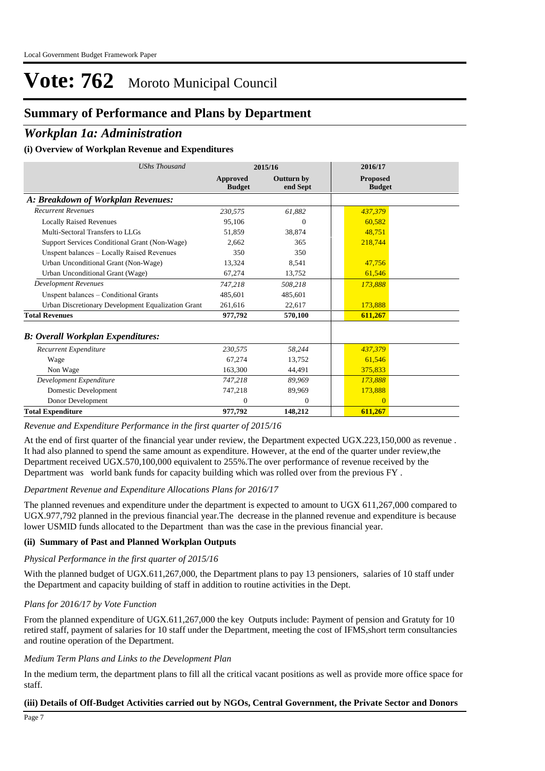# **Summary of Performance and Plans by Department**

## *Workplan 1a: Administration*

## **(i) Overview of Workplan Revenue and Expenditures**

| <b>UShs Thousand</b>                               |                                  | 2015/16                       | 2016/17                          |  |
|----------------------------------------------------|----------------------------------|-------------------------------|----------------------------------|--|
|                                                    | <b>Approved</b><br><b>Budget</b> | <b>Outturn by</b><br>end Sept | <b>Proposed</b><br><b>Budget</b> |  |
| A: Breakdown of Workplan Revenues:                 |                                  |                               |                                  |  |
| <b>Recurrent Revenues</b>                          | 230,575                          | 61,882                        | 437,379                          |  |
| <b>Locally Raised Revenues</b>                     | 95,106                           | $\Omega$                      | 60,582                           |  |
| Multi-Sectoral Transfers to LLGs                   | 51.859                           | 38,874                        | 48.751                           |  |
| Support Services Conditional Grant (Non-Wage)      | 2.662                            | 365                           | 218,744                          |  |
| Unspent balances - Locally Raised Revenues         | 350                              | 350                           |                                  |  |
| Urban Unconditional Grant (Non-Wage)               | 13,324                           | 8,541                         | 47,756                           |  |
| Urban Unconditional Grant (Wage)                   | 67,274                           | 13,752                        | 61,546                           |  |
| <b>Development Revenues</b>                        | 747,218                          | 508.218                       | 173,888                          |  |
| Unspent balances – Conditional Grants              | 485,601                          | 485,601                       |                                  |  |
| Urban Discretionary Development Equalization Grant | 261,616                          | 22,617                        | 173,888                          |  |
| <b>Total Revenues</b>                              | 977,792                          | 570,100                       | 611,267                          |  |
| <b>B</b> : Overall Workplan Expenditures:          |                                  |                               |                                  |  |
| Recurrent Expenditure                              | 230,575                          | 58,244                        | 437,379                          |  |
| Wage                                               | 67.274                           | 13,752                        | 61,546                           |  |
| Non Wage                                           | 163,300                          | 44,491                        | 375,833                          |  |
| Development Expenditure                            | 747,218                          | 89,969                        | 173,888                          |  |
| Domestic Development                               | 747,218                          | 89,969                        | 173,888                          |  |
| Donor Development                                  | $\mathbf{0}$                     | $\overline{0}$                | $\Omega$                         |  |
| <b>Total Expenditure</b>                           | 977,792                          | 148,212                       | 611,267                          |  |

*Revenue and Expenditure Performance in the first quarter of 2015/16*

At the end of first quarter of the financial year under review, the Department expected UGX.223,150,000 as revenue . It had also planned to spend the same amount as expenditure. However, at the end of the quarter under review,the Department received UGX.570,100,000 equivalent to 255%.The over performance of revenue received by the Department was world bank funds for capacity building which was rolled over from the previous FY .

#### *Department Revenue and Expenditure Allocations Plans for 2016/17*

The planned revenues and expenditure under the department is expected to amount to UGX 611,267,000 compared to UGX.977,792 planned in the previous financial year.The decrease in the planned revenue and expenditure is because lower USMID funds allocated to the Department than was the case in the previous financial year.

## **(ii) Summary of Past and Planned Workplan Outputs**

#### *Physical Performance in the first quarter of 2015/16*

With the planned budget of UGX.611,267,000, the Department plans to pay 13 pensioners, salaries of 10 staff under the Department and capacity building of staff in addition to routine activities in the Dept.

## *Plans for 2016/17 by Vote Function*

From the planned expenditure of UGX.611,267,000 the key Outputs include: Payment of pension and Gratuty for 10 retired staff, payment of salaries for 10 staff under the Department, meeting the cost of IFMS,short term consultancies and routine operation of the Department.

#### *Medium Term Plans and Links to the Development Plan*

In the medium term, the department plans to fill all the critical vacant positions as well as provide more office space for staff.

## **(iii) Details of Off-Budget Activities carried out by NGOs, Central Government, the Private Sector and Donors**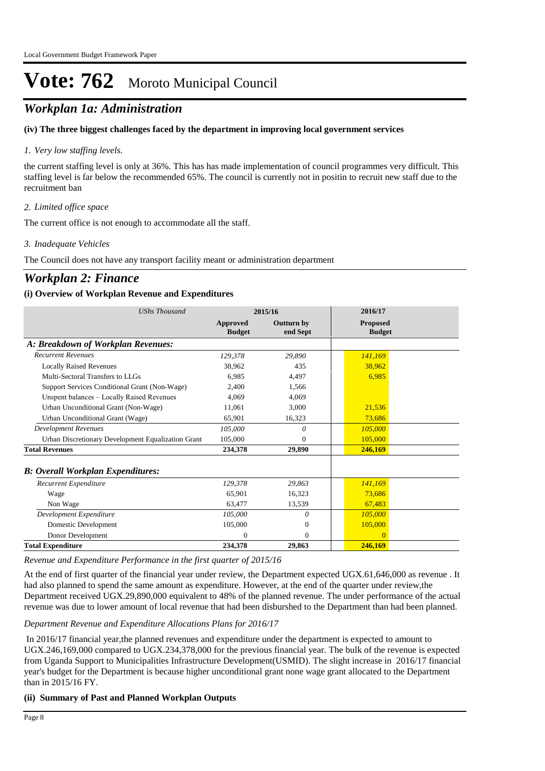# *Workplan 1a: Administration*

## **(iv) The three biggest challenges faced by the department in improving local government services**

## *Very low staffing levels. 1.*

the current staffing level is only at 36%. This has has made implementation of council programmes very difficult. This staffing level is far below the recommended 65%. The council is currently not in positin to recruit new staff due to the recruitment ban

## *Limited office space 2.*

The current office is not enough to accommodate all the staff.

## *Inadequate Vehicles 3.*

The Council does not have any transport facility meant or administration department

# *Workplan 2: Finance*

## **(i) Overview of Workplan Revenue and Expenditures**

| <b>UShs Thousand</b>                               |                           | 2015/16                       | 2016/17                          |  |
|----------------------------------------------------|---------------------------|-------------------------------|----------------------------------|--|
|                                                    | Approved<br><b>Budget</b> | <b>Outturn by</b><br>end Sept | <b>Proposed</b><br><b>Budget</b> |  |
| A: Breakdown of Workplan Revenues:                 |                           |                               |                                  |  |
| <b>Recurrent Revenues</b>                          | 129,378                   | 29.890                        | 141.169                          |  |
| <b>Locally Raised Revenues</b>                     | 38,962                    | 435                           | 38,962                           |  |
| Multi-Sectoral Transfers to LLGs                   | 6.985                     | 4,497                         | 6,985                            |  |
| Support Services Conditional Grant (Non-Wage)      | 2.400                     | 1,566                         |                                  |  |
| Unspent balances - Locally Raised Revenues         | 4.069                     | 4,069                         |                                  |  |
| Urban Unconditional Grant (Non-Wage)               | 11,061                    | 3,000                         | 21,536                           |  |
| Urban Unconditional Grant (Wage)                   | 65.901                    | 16,323                        | 73,686                           |  |
| <b>Development Revenues</b>                        | 105,000                   | 0                             | 105,000                          |  |
| Urban Discretionary Development Equalization Grant | 105,000                   | 0                             | 105,000                          |  |
| <b>Total Revenues</b>                              | 234,378                   | 29,890                        | 246,169                          |  |
| <b>B: Overall Workplan Expenditures:</b>           |                           |                               |                                  |  |
| Recurrent Expenditure                              | 129.378                   | 29,863                        | 141.169                          |  |
| Wage                                               | 65,901                    | 16,323                        | 73,686                           |  |
| Non Wage                                           | 63.477                    | 13,539                        | 67,483                           |  |
| Development Expenditure                            | 105,000                   | 0                             | 105,000                          |  |
| Domestic Development                               | 105,000                   | $\Omega$                      | 105,000                          |  |
| Donor Development                                  | 0                         | 0                             | $\Omega$                         |  |
| <b>Total Expenditure</b>                           | 234,378                   | 29,863                        | 246,169                          |  |

*Revenue and Expenditure Performance in the first quarter of 2015/16*

At the end of first quarter of the financial year under review, the Department expected UGX.61,646,000 as revenue . It had also planned to spend the same amount as expenditure. However, at the end of the quarter under review,the Department received UGX.29,890,000 equivalent to 48% of the planned revenue. The under performance of the actual revenue was due to lower amount of local revenue that had been disburshed to the Department than had been planned.

## *Department Revenue and Expenditure Allocations Plans for 2016/17*

 In 2016/17 financial year,the planned revenues and expenditure under the department is expected to amount to UGX.246,169,000 compared to UGX.234,378,000 for the previous financial year. The bulk of the revenue is expected from Uganda Support to Municipalities Infrastructure Development(USMID). The slight increase in 2016/17 financial year's budget for the Department is because higher unconditional grant none wage grant allocated to the Department than in 2015/16 FY.

## **(ii) Summary of Past and Planned Workplan Outputs**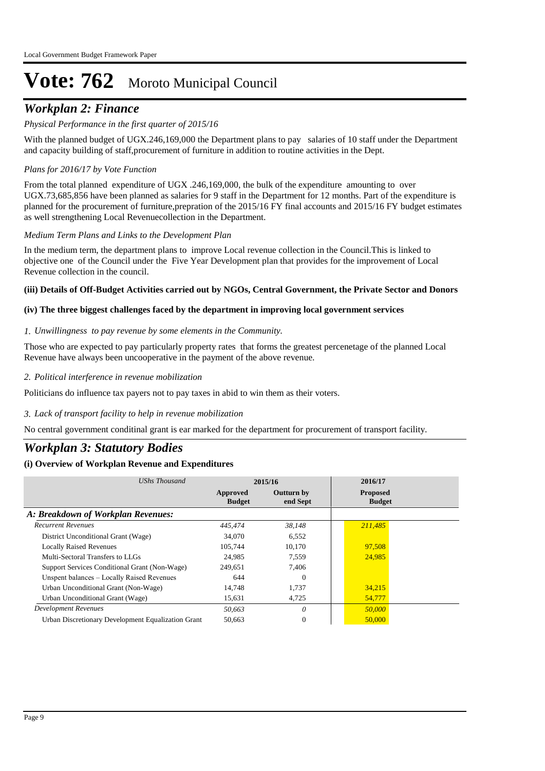# *Workplan 2: Finance*

## *Physical Performance in the first quarter of 2015/16*

With the planned budget of UGX.246,169,000 the Department plans to pay salaries of 10 staff under the Department and capacity building of staff,procurement of furniture in addition to routine activities in the Dept.

## *Plans for 2016/17 by Vote Function*

From the total planned expenditure of UGX .246,169,000, the bulk of the expenditure amounting to over UGX.73,685,856 have been planned as salaries for 9 staff in the Department for 12 months. Part of the expenditure is planned for the procurement of furniture,prepration of the 2015/16 FY final accounts and 2015/16 FY budget estimates as well strengthening Local Revenuecollection in the Department.

## *Medium Term Plans and Links to the Development Plan*

In the medium term, the department plans to improve Local revenue collection in the Council.This is linked to objective one of the Council under the Five Year Development plan that provides for the improvement of Local Revenue collection in the council.

#### **(iii) Details of Off-Budget Activities carried out by NGOs, Central Government, the Private Sector and Donors**

## **(iv) The three biggest challenges faced by the department in improving local government services**

#### *Unwillingness to pay revenue by some elements in the Community. 1.*

Those who are expected to pay particularly property rates that forms the greatest percenetage of the planned Local Revenue have always been uncooperative in the payment of the above revenue.

#### *Political interference in revenue mobilization 2.*

Politicians do influence tax payers not to pay taxes in abid to win them as their voters.

## *Lack of transport facility to help in revenue mobilization 3.*

No central government conditinal grant is ear marked for the department for procurement of transport facility.

# *Workplan 3: Statutory Bodies*

| UShs Thousand                                      |                           | 2015/16                       | 2016/17                          |
|----------------------------------------------------|---------------------------|-------------------------------|----------------------------------|
|                                                    | Approved<br><b>Budget</b> | <b>Outturn by</b><br>end Sept | <b>Proposed</b><br><b>Budget</b> |
| A: Breakdown of Workplan Revenues:                 |                           |                               |                                  |
| <b>Recurrent Revenues</b>                          | 445.474                   | 38,148                        | 211,485                          |
| District Unconditional Grant (Wage)                | 34,070                    | 6,552                         |                                  |
| <b>Locally Raised Revenues</b>                     | 105.744                   | 10,170                        | 97,508                           |
| Multi-Sectoral Transfers to LLGs                   | 24,985                    | 7,559                         | 24,985                           |
| Support Services Conditional Grant (Non-Wage)      | 249.651                   | 7.406                         |                                  |
| Unspent balances – Locally Raised Revenues         | 644                       | $\Omega$                      |                                  |
| Urban Unconditional Grant (Non-Wage)               | 14,748                    | 1,737                         | 34,215                           |
| Urban Unconditional Grant (Wage)                   | 15,631                    | 4,725                         | 54,777                           |
| Development Revenues                               | 50,663                    | 0                             | 50,000                           |
| Urban Discretionary Development Equalization Grant | 50.663                    | $\theta$                      | 50,000                           |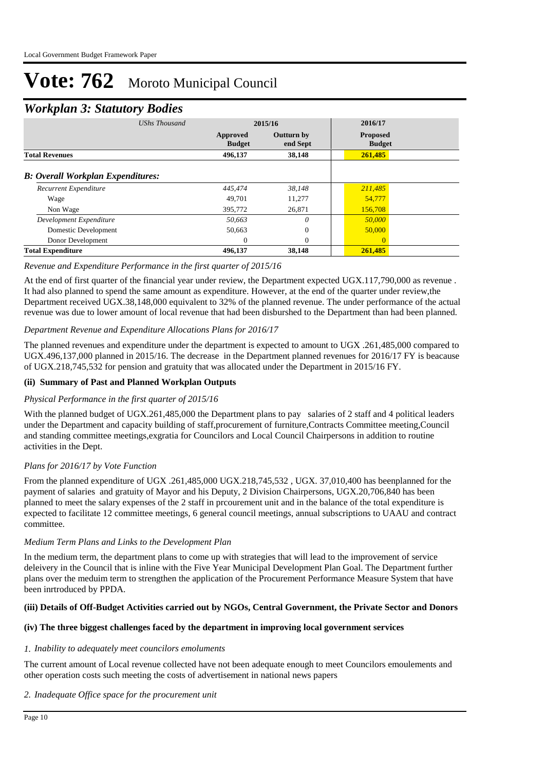# *Workplan 3: Statutory Bodies*

|                                          | ັ                    |                           |                               |                                  |  |
|------------------------------------------|----------------------|---------------------------|-------------------------------|----------------------------------|--|
|                                          | <b>UShs Thousand</b> |                           | 2015/16                       | 2016/17                          |  |
|                                          |                      | Approved<br><b>Budget</b> | <b>Outturn by</b><br>end Sept | <b>Proposed</b><br><b>Budget</b> |  |
| <b>Total Revenues</b>                    |                      | 496,137                   | 38,148                        | 261,485                          |  |
| <b>B: Overall Workplan Expenditures:</b> |                      |                           |                               |                                  |  |
| Recurrent Expenditure                    |                      | 445,474                   | 38.148                        | 211,485                          |  |
| Wage                                     |                      | 49.701                    | 11,277                        | 54,777                           |  |
| Non Wage                                 |                      | 395,772                   | 26,871                        | 156,708                          |  |
| Development Expenditure                  |                      | 50,663                    | $\theta$                      | 50,000                           |  |
| Domestic Development                     |                      | 50,663                    | $\theta$                      | 50,000                           |  |
| Donor Development                        |                      | $\Omega$                  | $\Omega$                      | $\theta$                         |  |
| <b>Total Expenditure</b>                 |                      | 496,137                   | 38,148                        | 261,485                          |  |

## *Revenue and Expenditure Performance in the first quarter of 2015/16*

At the end of first quarter of the financial year under review, the Department expected UGX.117,790,000 as revenue . It had also planned to spend the same amount as expenditure. However, at the end of the quarter under review,the Department received UGX.38,148,000 equivalent to 32% of the planned revenue. The under performance of the actual revenue was due to lower amount of local revenue that had been disburshed to the Department than had been planned.

## *Department Revenue and Expenditure Allocations Plans for 2016/17*

The planned revenues and expenditure under the department is expected to amount to UGX .261,485,000 compared to UGX.496,137,000 planned in 2015/16. The decrease in the Department planned revenues for 2016/17 FY is beacause of UGX.218,745,532 for pension and gratuity that was allocated under the Department in 2015/16 FY.

## **(ii) Summary of Past and Planned Workplan Outputs**

## *Physical Performance in the first quarter of 2015/16*

With the planned budget of UGX.261,485,000 the Department plans to pay salaries of 2 staff and 4 political leaders under the Department and capacity building of staff,procurement of furniture,Contracts Committee meeting,Council and standing committee meetings,exgratia for Councilors and Local Council Chairpersons in addition to routine activities in the Dept.

## *Plans for 2016/17 by Vote Function*

From the planned expenditure of UGX .261,485,000 UGX.218,745,532 , UGX. 37,010,400 has beenplanned for the payment of salaries and gratuity of Mayor and his Deputy, 2 Division Chairpersons, UGX.20,706,840 has been planned to meet the salary expenses of the 2 staff in prcourement unit and in the balance of the total expenditure is expected to facilitate 12 committee meetings, 6 general council meetings, annual subscriptions to UAAU and contract committee.

## *Medium Term Plans and Links to the Development Plan*

In the medium term, the department plans to come up with strategies that will lead to the improvement of service deleivery in the Council that is inline with the Five Year Municipal Development Plan Goal. The Department further plans over the meduim term to strengthen the application of the Procurement Performance Measure System that have been inrtroduced by PPDA.

## **(iii) Details of Off-Budget Activities carried out by NGOs, Central Government, the Private Sector and Donors**

## **(iv) The three biggest challenges faced by the department in improving local government services**

#### *Inability to adequately meet councilors emoluments 1.*

The current amount of Local revenue collected have not been adequate enough to meet Councilors emoulements and other operation costs such meeting the costs of advertisement in national news papers

## *Inadequate Office space for the procurement unit 2.*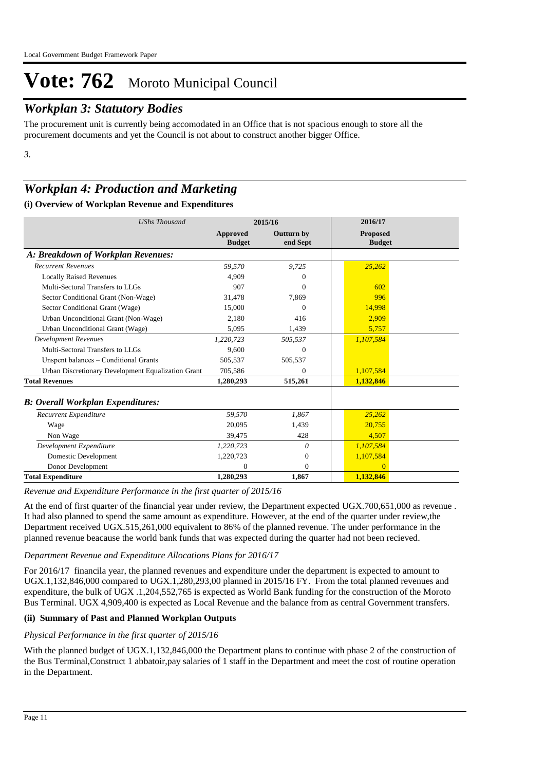# *Workplan 3: Statutory Bodies*

The procurement unit is currently being accomodated in an Office that is not spacious enough to store all the procurement documents and yet the Council is not about to construct another bigger Office.

*3.*

# *Workplan 4: Production and Marketing*

## **(i) Overview of Workplan Revenue and Expenditures**

| <b>UShs Thousand</b>                               |                                  | 2015/16                       | 2016/17                          |  |
|----------------------------------------------------|----------------------------------|-------------------------------|----------------------------------|--|
|                                                    | <b>Approved</b><br><b>Budget</b> | <b>Outturn by</b><br>end Sept | <b>Proposed</b><br><b>Budget</b> |  |
| A: Breakdown of Workplan Revenues:                 |                                  |                               |                                  |  |
| <b>Recurrent Revenues</b>                          | 59.570                           | 9.725                         | 25,262                           |  |
| <b>Locally Raised Revenues</b>                     | 4.909                            | 0                             |                                  |  |
| Multi-Sectoral Transfers to LLGs                   | 907                              | $\theta$                      | 602                              |  |
| Sector Conditional Grant (Non-Wage)                | 31,478                           | 7,869                         | 996                              |  |
| Sector Conditional Grant (Wage)                    | 15,000                           | $\Omega$                      | 14.998                           |  |
| Urban Unconditional Grant (Non-Wage)               | 2,180                            | 416                           | 2,909                            |  |
| Urban Unconditional Grant (Wage)                   | 5.095                            | 1,439                         | 5,757                            |  |
| <b>Development Revenues</b>                        | 1,220,723                        | 505,537                       | 1,107,584                        |  |
| Multi-Sectoral Transfers to LLGs                   | 9.600                            | $\Omega$                      |                                  |  |
| Unspent balances – Conditional Grants              | 505,537                          | 505,537                       |                                  |  |
| Urban Discretionary Development Equalization Grant | 705,586                          | 0                             | 1,107,584                        |  |
| <b>Total Revenues</b>                              | 1,280,293                        | 515,261                       | 1,132,846                        |  |
| <b>B: Overall Workplan Expenditures:</b>           |                                  |                               |                                  |  |
| Recurrent Expenditure                              | 59,570                           | 1,867                         | 25,262                           |  |
| Wage                                               | 20,095                           | 1,439                         | 20,755                           |  |
| Non Wage                                           | 39,475                           | 428                           | 4,507                            |  |
| Development Expenditure                            | 1,220,723                        | 0                             | 1,107,584                        |  |
| Domestic Development                               | 1,220,723                        | $\mathbf{0}$                  | 1,107,584                        |  |
| Donor Development                                  | $\Omega$                         | $\Omega$                      | $\Omega$                         |  |
| <b>Total Expenditure</b>                           | 1,280,293                        | 1.867                         | 1,132,846                        |  |

*Revenue and Expenditure Performance in the first quarter of 2015/16*

At the end of first quarter of the financial year under review, the Department expected UGX.700,651,000 as revenue . It had also planned to spend the same amount as expenditure. However, at the end of the quarter under review,the Department received UGX.515,261,000 equivalent to 86% of the planned revenue. The under performance in the planned revenue beacause the world bank funds that was expected during the quarter had not been recieved.

## *Department Revenue and Expenditure Allocations Plans for 2016/17*

For 2016/17 financila year, the planned revenues and expenditure under the department is expected to amount to UGX.1,132,846,000 compared to UGX.1,280,293,00 planned in 2015/16 FY. From the total planned revenues and expenditure, the bulk of UGX .1,204,552,765 is expected as World Bank funding for the construction of the Moroto Bus Terminal. UGX 4,909,400 is expected as Local Revenue and the balance from as central Government transfers.

## **(ii) Summary of Past and Planned Workplan Outputs**

## *Physical Performance in the first quarter of 2015/16*

With the planned budget of UGX.1,132,846,000 the Department plans to continue with phase 2 of the construction of the Bus Terminal,Construct 1 abbatoir,pay salaries of 1 staff in the Department and meet the cost of routine operation in the Department.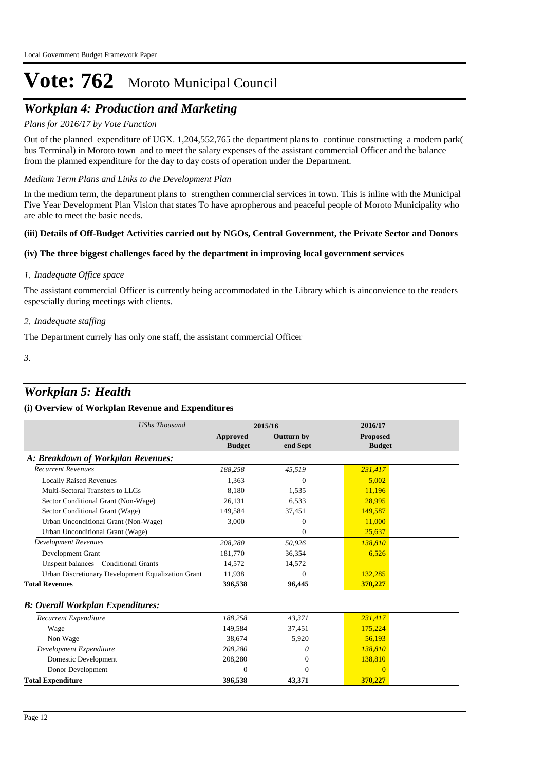# *Workplan 4: Production and Marketing*

## *Plans for 2016/17 by Vote Function*

Out of the planned expenditure of UGX. 1,204,552,765 the department plans to continue constructing a modern park( bus Terminal) in Moroto town and to meet the salary expenses of the assistant commercial Officer and the balance from the planned expenditure for the day to day costs of operation under the Department.

#### *Medium Term Plans and Links to the Development Plan*

In the medium term, the department plans to strengthen commercial services in town. This is inline with the Municipal Five Year Development Plan Vision that states To have apropherous and peaceful people of Moroto Municipality who are able to meet the basic needs.

#### **(iii) Details of Off-Budget Activities carried out by NGOs, Central Government, the Private Sector and Donors**

## **(iv) The three biggest challenges faced by the department in improving local government services**

#### *Inadequate Office space 1.*

The assistant commercial Officer is currently being accommodated in the Library which is ainconvience to the readers espescially during meetings with clients.

#### *Inadequate staffing 2.*

The Department currely has only one staff, the assistant commercial Officer

*3.*

# *Workplan 5: Health*

| <b>UShs Thousand</b>                               |                           | 2015/16                | 2016/17                          |
|----------------------------------------------------|---------------------------|------------------------|----------------------------------|
|                                                    | Approved<br><b>Budget</b> | Outturn by<br>end Sept | <b>Proposed</b><br><b>Budget</b> |
| A: Breakdown of Workplan Revenues:                 |                           |                        |                                  |
| <b>Recurrent Revenues</b>                          | 188,258                   | 45,519                 | 231,417                          |
| <b>Locally Raised Revenues</b>                     | 1,363                     | $\Omega$               | 5.002                            |
| Multi-Sectoral Transfers to LLGs                   | 8.180                     | 1,535                  | 11.196                           |
| Sector Conditional Grant (Non-Wage)                | 26.131                    | 6,533                  | 28.995                           |
| Sector Conditional Grant (Wage)                    | 149,584                   | 37,451                 | 149,587                          |
| Urban Unconditional Grant (Non-Wage)               | 3,000                     | $\Omega$               | 11,000                           |
| Urban Unconditional Grant (Wage)                   |                           | $\Omega$               | 25,637                           |
| <b>Development Revenues</b>                        | 208,280                   | 50,926                 | 138,810                          |
| Development Grant                                  | 181,770                   | 36,354                 | 6,526                            |
| Unspent balances - Conditional Grants              | 14,572                    | 14,572                 |                                  |
| Urban Discretionary Development Equalization Grant | 11,938                    | $\Omega$               | 132,285                          |
| <b>Total Revenues</b>                              | 396,538                   | 96,445                 | 370,227                          |
| <b>B: Overall Workplan Expenditures:</b>           |                           |                        |                                  |
| Recurrent Expenditure                              | 188,258                   | 43,371                 | 231,417                          |
| Wage                                               | 149,584                   | 37,451                 | 175,224                          |
| Non Wage                                           | 38.674                    | 5,920                  | 56,193                           |
| Development Expenditure                            | 208,280                   | 0                      | 138,810                          |
| Domestic Development                               | 208,280                   | $\mathbf{0}$           | 138,810                          |
| Donor Development                                  | 0                         | $\Omega$               | $\Omega$                         |
| <b>Total Expenditure</b>                           | 396,538                   | 43,371                 | 370,227                          |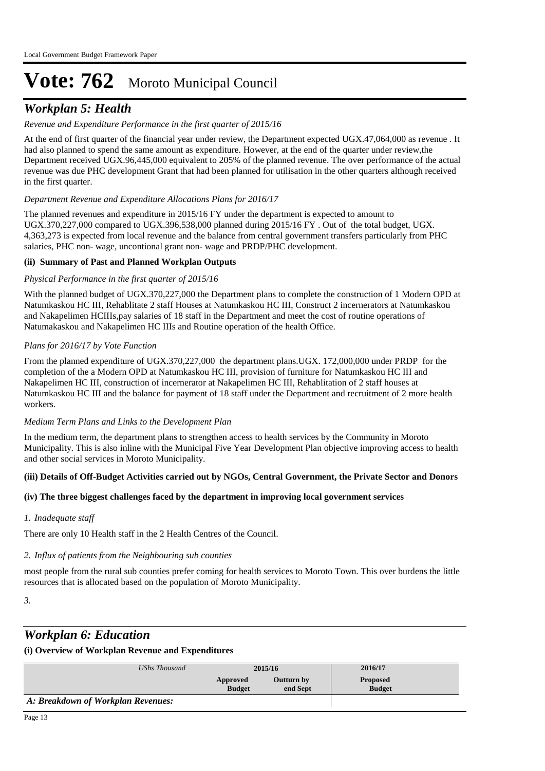# *Workplan 5: Health*

## *Revenue and Expenditure Performance in the first quarter of 2015/16*

At the end of first quarter of the financial year under review, the Department expected UGX.47,064,000 as revenue . It had also planned to spend the same amount as expenditure. However, at the end of the quarter under review,the Department received UGX.96,445,000 equivalent to 205% of the planned revenue. The over performance of the actual revenue was due PHC development Grant that had been planned for utilisation in the other quarters although received in the first quarter.

## *Department Revenue and Expenditure Allocations Plans for 2016/17*

The planned revenues and expenditure in 2015/16 FY under the department is expected to amount to UGX.370,227,000 compared to UGX.396,538,000 planned during 2015/16 FY . Out of the total budget, UGX. 4,363,273 is expected from local revenue and the balance from central government transfers particularly from PHC salaries, PHC non- wage, uncontional grant non- wage and PRDP/PHC development.

## **(ii) Summary of Past and Planned Workplan Outputs**

#### *Physical Performance in the first quarter of 2015/16*

With the planned budget of UGX.370,227,000 the Department plans to complete the construction of 1 Modern OPD at Natumkaskou HC III, Rehablitate 2 staff Houses at Natumkaskou HC III, Construct 2 incernerators at Natumkaskou and Nakapelimen HCIIIs,pay salaries of 18 staff in the Department and meet the cost of routine operations of Natumakaskou and Nakapelimen HC IIIs and Routine operation of the health Office.

#### *Plans for 2016/17 by Vote Function*

From the planned expenditure of UGX.370,227,000 the department plans.UGX. 172,000,000 under PRDP for the completion of the a Modern OPD at Natumkaskou HC III, provision of furniture for Natumkaskou HC III and Nakapelimen HC III, construction of incernerator at Nakapelimen HC III, Rehablitation of 2 staff houses at Natumkaskou HC III and the balance for payment of 18 staff under the Department and recruitment of 2 more health workers.

#### *Medium Term Plans and Links to the Development Plan*

In the medium term, the department plans to strengthen access to health services by the Community in Moroto Municipality. This is also inline with the Municipal Five Year Development Plan objective improving access to health and other social services in Moroto Municipality.

## **(iii) Details of Off-Budget Activities carried out by NGOs, Central Government, the Private Sector and Donors**

## **(iv) The three biggest challenges faced by the department in improving local government services**

## *Inadequate staff 1.*

There are only 10 Health staff in the 2 Health Centres of the Council.

## *Influx of patients from the Neighbouring sub counties 2.*

most people from the rural sub counties prefer coming for health services to Moroto Town. This over burdens the little resources that is allocated based on the population of Moroto Municipality.

*3.*

# *Workplan 6: Education*

| UShs Thousand                      | 2015/16                                             |  | 2016/17                          |  |
|------------------------------------|-----------------------------------------------------|--|----------------------------------|--|
|                                    | Outturn by<br>Approved<br><b>Budget</b><br>end Sept |  | <b>Proposed</b><br><b>Budget</b> |  |
| A: Breakdown of Workplan Revenues: |                                                     |  |                                  |  |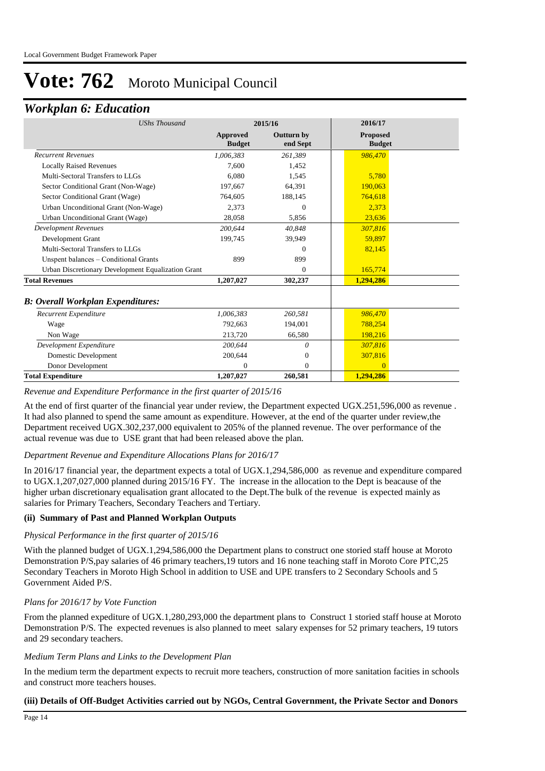# *Workplan 6: Education*

| <b>UShs Thousand</b>                               | 2015/16                   |                               | 2016/17                          |  |
|----------------------------------------------------|---------------------------|-------------------------------|----------------------------------|--|
|                                                    | Approved<br><b>Budget</b> | <b>Outturn by</b><br>end Sept | <b>Proposed</b><br><b>Budget</b> |  |
| <b>Recurrent Revenues</b>                          | 1,006,383                 | 261,389                       | 986,470                          |  |
| <b>Locally Raised Revenues</b>                     | 7.600                     | 1.452                         |                                  |  |
| Multi-Sectoral Transfers to LLGs                   | 6.080                     | 1,545                         | 5,780                            |  |
| Sector Conditional Grant (Non-Wage)                | 197.667                   | 64.391                        | 190.063                          |  |
| Sector Conditional Grant (Wage)                    | 764,605                   | 188,145                       | 764.618                          |  |
| Urban Unconditional Grant (Non-Wage)               | 2.373                     | $\Omega$                      | 2.373                            |  |
| Urban Unconditional Grant (Wage)                   | 28.058                    | 5,856                         | 23,636                           |  |
| <b>Development Revenues</b>                        | 200.644                   | 40.848                        | 307,816                          |  |
| Development Grant                                  | 199.745                   | 39,949                        | 59,897                           |  |
| Multi-Sectoral Transfers to LLGs                   |                           | $\Omega$                      | 82,145                           |  |
| Unspent balances – Conditional Grants              | 899                       | 899                           |                                  |  |
| Urban Discretionary Development Equalization Grant |                           | $\Omega$                      | 165,774                          |  |
| <b>Total Revenues</b>                              | 1,207,027                 | 302,237                       | 1,294,286                        |  |
| <b>B: Overall Workplan Expenditures:</b>           |                           |                               |                                  |  |
| Recurrent Expenditure                              | 1,006,383                 | 260,581                       | 986,470                          |  |
| Wage                                               | 792,663                   | 194,001                       | 788,254                          |  |
| Non Wage                                           | 213,720                   | 66,580                        | 198,216                          |  |
| Development Expenditure                            | 200,644                   | 0                             | 307,816                          |  |
| Domestic Development                               | 200,644                   | $\theta$                      | 307,816                          |  |
| Donor Development                                  | $\Omega$                  | $\Omega$                      | $\Omega$                         |  |
| <b>Total Expenditure</b>                           | 1,207,027                 | 260,581                       | 1,294,286                        |  |

#### *Revenue and Expenditure Performance in the first quarter of 2015/16*

At the end of first quarter of the financial year under review, the Department expected UGX.251,596,000 as revenue . It had also planned to spend the same amount as expenditure. However, at the end of the quarter under review,the Department received UGX.302,237,000 equivalent to 205% of the planned revenue. The over performance of the actual revenue was due to USE grant that had been released above the plan.

## *Department Revenue and Expenditure Allocations Plans for 2016/17*

In 2016/17 financial year, the department expects a total of UGX.1,294,586,000 as revenue and expenditure compared to UGX.1,207,027,000 planned during 2015/16 FY. The increase in the allocation to the Dept is beacause of the higher urban discretionary equalisation grant allocated to the Dept.The bulk of the revenue is expected mainly as salaries for Primary Teachers, Secondary Teachers and Tertiary.

## **(ii) Summary of Past and Planned Workplan Outputs**

#### *Physical Performance in the first quarter of 2015/16*

With the planned budget of UGX.1,294,586,000 the Department plans to construct one storied staff house at Moroto Demonstration P/S,pay salaries of 46 primary teachers,19 tutors and 16 none teaching staff in Moroto Core PTC,25 Secondary Teachers in Moroto High School in addition to USE and UPE transfers to 2 Secondary Schools and 5 Government Aided P/S.

## *Plans for 2016/17 by Vote Function*

From the planned expediture of UGX.1,280,293,000 the department plans to Construct 1 storied staff house at Moroto Demonstration P/S. The expected revenues is also planned to meet salary expenses for 52 primary teachers, 19 tutors and 29 secondary teachers.

#### *Medium Term Plans and Links to the Development Plan*

In the medium term the department expects to recruit more teachers, construction of more sanitation facities in schools and construct more teachers houses.

#### **(iii) Details of Off-Budget Activities carried out by NGOs, Central Government, the Private Sector and Donors**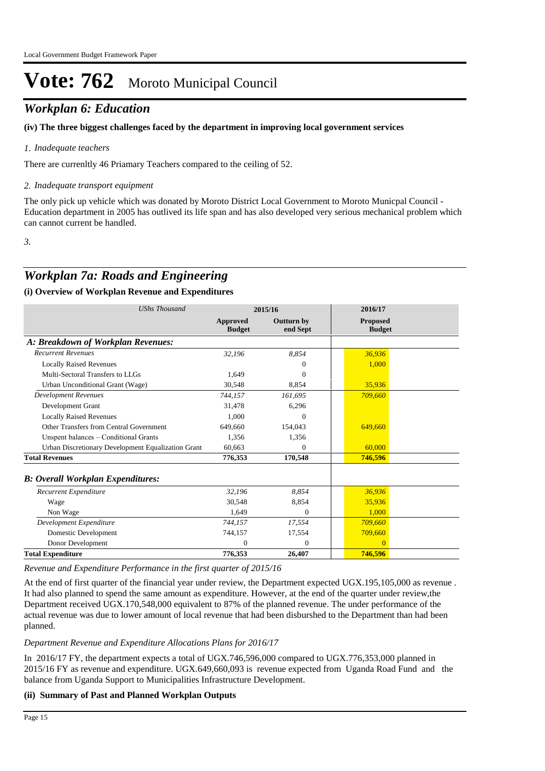# *Workplan 6: Education*

## **(iv) The three biggest challenges faced by the department in improving local government services**

## *Inadequate teachers 1.*

There are currenltly 46 Priamary Teachers compared to the ceiling of 52.

## *Inadequate transport equipment 2.*

The only pick up vehicle which was donated by Moroto District Local Government to Moroto Municpal Council - Education department in 2005 has outlived its life span and has also developed very serious mechanical problem which can cannot current be handled.

*3.*

# *Workplan 7a: Roads and Engineering*

## **(i) Overview of Workplan Revenue and Expenditures**

| <b>UShs Thousand</b>                               |                           | 2015/16                       | 2016/17                          |
|----------------------------------------------------|---------------------------|-------------------------------|----------------------------------|
|                                                    | Approved<br><b>Budget</b> | <b>Outturn by</b><br>end Sept | <b>Proposed</b><br><b>Budget</b> |
| A: Breakdown of Workplan Revenues:                 |                           |                               |                                  |
| <b>Recurrent Revenues</b>                          | 32,196                    | 8,854                         | 36.936                           |
| <b>Locally Raised Revenues</b>                     |                           | $\Omega$                      | 1,000                            |
| Multi-Sectoral Transfers to LLGs                   | 1,649                     | $\Omega$                      |                                  |
| Urban Unconditional Grant (Wage)                   | 30,548                    | 8,854                         | 35,936                           |
| <b>Development Revenues</b>                        | 744.157                   | 161.695                       | 709,660                          |
| Development Grant                                  | 31,478                    | 6,296                         |                                  |
| <b>Locally Raised Revenues</b>                     | 1.000                     | $\Omega$                      |                                  |
| Other Transfers from Central Government            | 649,660                   | 154,043                       | 649,660                          |
| Unspent balances - Conditional Grants              | 1,356                     | 1,356                         |                                  |
| Urban Discretionary Development Equalization Grant | 60.663                    | $\Omega$                      | 60,000                           |
| <b>Total Revenues</b>                              | 776,353                   | 170,548                       | 746,596                          |
| <b>B: Overall Workplan Expenditures:</b>           |                           |                               |                                  |
| Recurrent Expenditure                              | 32,196                    | 8,854                         | 36,936                           |
| Wage                                               | 30,548                    | 8,854                         | 35,936                           |
| Non Wage                                           | 1.649                     | $\Omega$                      | 1.000                            |
| Development Expenditure                            | 744,157                   | 17,554                        | 709,660                          |
| Domestic Development                               | 744,157                   | 17,554                        | 709,660                          |
| Donor Development                                  | $\overline{0}$            | $\overline{0}$                | $\Omega$                         |
| <b>Total Expenditure</b>                           | 776,353                   | 26,407                        | 746,596                          |

*Revenue and Expenditure Performance in the first quarter of 2015/16*

At the end of first quarter of the financial year under review, the Department expected UGX.195,105,000 as revenue . It had also planned to spend the same amount as expenditure. However, at the end of the quarter under review,the Department received UGX.170,548,000 equivalent to 87% of the planned revenue. The under performance of the actual revenue was due to lower amount of local revenue that had been disburshed to the Department than had been planned.

## *Department Revenue and Expenditure Allocations Plans for 2016/17*

In 2016/17 FY, the department expects a total of UGX.746,596,000 compared to UGX.776,353,000 planned in 2015/16 FY as revenue and expenditure. UGX.649,660,093 is revenue expected from Uganda Road Fund and the balance from Uganda Support to Municipalities Infrastructure Development.

## **(ii) Summary of Past and Planned Workplan Outputs**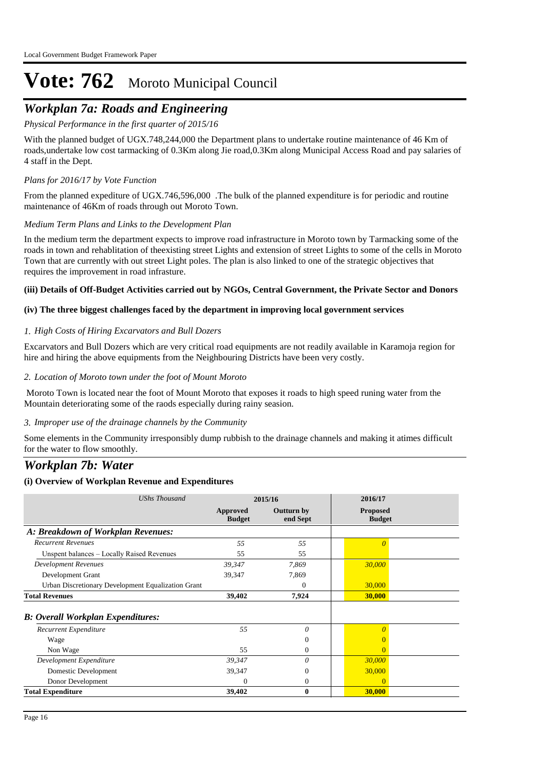# *Workplan 7a: Roads and Engineering*

*Physical Performance in the first quarter of 2015/16*

With the planned budget of UGX.748,244,000 the Department plans to undertake routine maintenance of 46 Km of roads,undertake low cost tarmacking of 0.3Km along Jie road,0.3Km along Municipal Access Road and pay salaries of 4 staff in the Dept.

## *Plans for 2016/17 by Vote Function*

From the planned expediture of UGX.746,596,000 .The bulk of the planned expenditure is for periodic and routine maintenance of 46Km of roads through out Moroto Town.

## *Medium Term Plans and Links to the Development Plan*

In the medium term the department expects to improve road infrastructure in Moroto town by Tarmacking some of the roads in town and rehablitation of theexisting street Lights and extension of street Lights to some of the cells in Moroto Town that are currently with out street Light poles. The plan is also linked to one of the strategic objectives that requires the improvement in road infrasture.

#### **(iii) Details of Off-Budget Activities carried out by NGOs, Central Government, the Private Sector and Donors**

## **(iv) The three biggest challenges faced by the department in improving local government services**

#### *High Costs of Hiring Excarvators and Bull Dozers 1.*

Excarvators and Bull Dozers which are very critical road equipments are not readily available in Karamoja region for hire and hiring the above equipments from the Neighbouring Districts have been very costly.

#### *Location of Moroto town under the foot of Mount Moroto 2.*

 Moroto Town is located near the foot of Mount Moroto that exposes it roads to high speed runing water from the Mountain deteriorating some of the raods especially during rainy seasion.

#### *Improper use of the drainage channels by the Community 3.*

Some elements in the Community irresponsibly dump rubbish to the drainage channels and making it atimes difficult for the water to flow smoothly.

# *Workplan 7b: Water*

## **(i) Overview of Workplan Revenue and Expenditures**

*Revenue and Expenditure Performance in the first quarter of 2015/16*

| <b>UShs Thousand</b>                               |                           | 2015/16                       | 2016/17                          |
|----------------------------------------------------|---------------------------|-------------------------------|----------------------------------|
|                                                    | Approved<br><b>Budget</b> | <b>Outturn by</b><br>end Sept | <b>Proposed</b><br><b>Budget</b> |
| A: Breakdown of Workplan Revenues:                 |                           |                               |                                  |
| <b>Recurrent Revenues</b>                          | 55                        | 55                            | $\Omega$                         |
| Unspent balances - Locally Raised Revenues         | 55                        | 55                            |                                  |
| <b>Development Revenues</b>                        | 39,347                    | 7,869                         | 30,000                           |
| Development Grant                                  | 39,347                    | 7,869                         |                                  |
| Urban Discretionary Development Equalization Grant |                           | 0                             | 30,000                           |
| <b>Total Revenues</b>                              | 39,402                    | 7,924                         | 30,000                           |
| <b>B: Overall Workplan Expenditures:</b>           |                           |                               |                                  |
| Recurrent Expenditure                              | 55                        | 0                             |                                  |
| Wage                                               |                           | $\overline{0}$                |                                  |
| Non Wage                                           | 55                        | $\mathbf{0}$                  | $\Omega$                         |
| Development Expenditure                            | 39,347                    | 0                             | 30,000                           |
| Domestic Development                               | 39,347                    | $\mathbf{0}$                  | 30,000                           |
| Donor Development                                  | $\overline{0}$            | 0                             | $\Omega$                         |
| <b>Total Expenditure</b>                           | 39,402                    | $\bf{0}$                      | 30,000                           |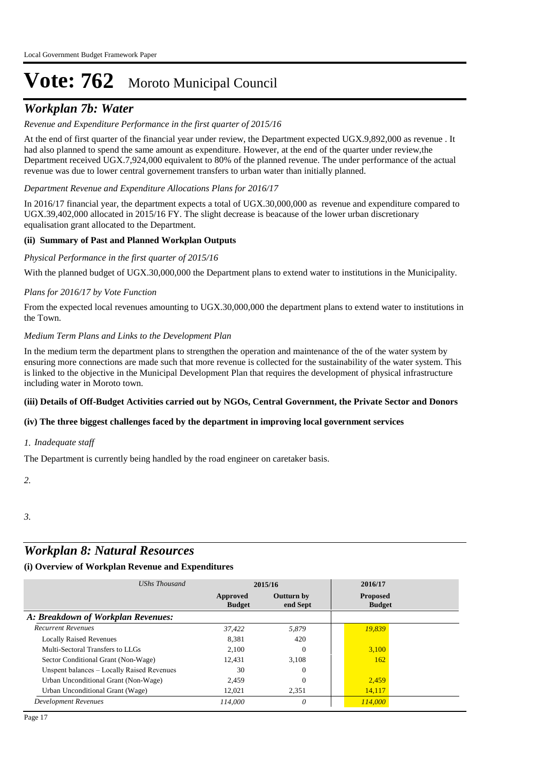# *Workplan 7b: Water*

## *Revenue and Expenditure Performance in the first quarter of 2015/16*

At the end of first quarter of the financial year under review, the Department expected UGX.9,892,000 as revenue . It had also planned to spend the same amount as expenditure. However, at the end of the quarter under review,the Department received UGX.7,924,000 equivalent to 80% of the planned revenue. The under performance of the actual revenue was due to lower central governement transfers to urban water than initially planned.

*Department Revenue and Expenditure Allocations Plans for 2016/17*

In 2016/17 financial year, the department expects a total of UGX.30,000,000 as revenue and expenditure compared to UGX.39,402,000 allocated in 2015/16 FY. The slight decrease is beacause of the lower urban discretionary equalisation grant allocated to the Department.

## **(ii) Summary of Past and Planned Workplan Outputs**

#### *Physical Performance in the first quarter of 2015/16*

With the planned budget of UGX.30,000,000 the Department plans to extend water to institutions in the Municipality.

#### *Plans for 2016/17 by Vote Function*

From the expected local revenues amounting to UGX.30,000,000 the department plans to extend water to institutions in the Town.

#### *Medium Term Plans and Links to the Development Plan*

In the medium term the department plans to strengthen the operation and maintenance of the of the water system by ensuring more connections are made such that more revenue is collected for the sustainability of the water system. This is linked to the objective in the Municipal Development Plan that requires the development of physical infrastructure including water in Moroto town.

#### **(iii) Details of Off-Budget Activities carried out by NGOs, Central Government, the Private Sector and Donors**

#### **(iv) The three biggest challenges faced by the department in improving local government services**

#### *Inadequate staff 1.*

The Department is currently being handled by the road engineer on caretaker basis.

*2.*

*3.*

# *Workplan 8: Natural Resources*

| UShs Thousand                              | 2015/16                   |                               | 2016/17                          |  |  |
|--------------------------------------------|---------------------------|-------------------------------|----------------------------------|--|--|
|                                            | Approved<br><b>Budget</b> | <b>Outturn by</b><br>end Sept | <b>Proposed</b><br><b>Budget</b> |  |  |
| A: Breakdown of Workplan Revenues:         |                           |                               |                                  |  |  |
| <b>Recurrent Revenues</b>                  | 37.422                    | 5,879                         | 19,839                           |  |  |
| <b>Locally Raised Revenues</b>             | 8.381                     | 420                           |                                  |  |  |
| Multi-Sectoral Transfers to LLGs           | 2.100                     | $\Omega$                      | 3,100                            |  |  |
| Sector Conditional Grant (Non-Wage)        | 12,431                    | 3.108                         | 162                              |  |  |
| Unspent balances - Locally Raised Revenues | 30                        | $\Omega$                      |                                  |  |  |
| Urban Unconditional Grant (Non-Wage)       | 2,459                     | $\Omega$                      | 2,459                            |  |  |
| Urban Unconditional Grant (Wage)           | 12,021                    | 2,351                         | 14,117                           |  |  |
| <b>Development Revenues</b>                | 114.000                   | 0                             | 114,000                          |  |  |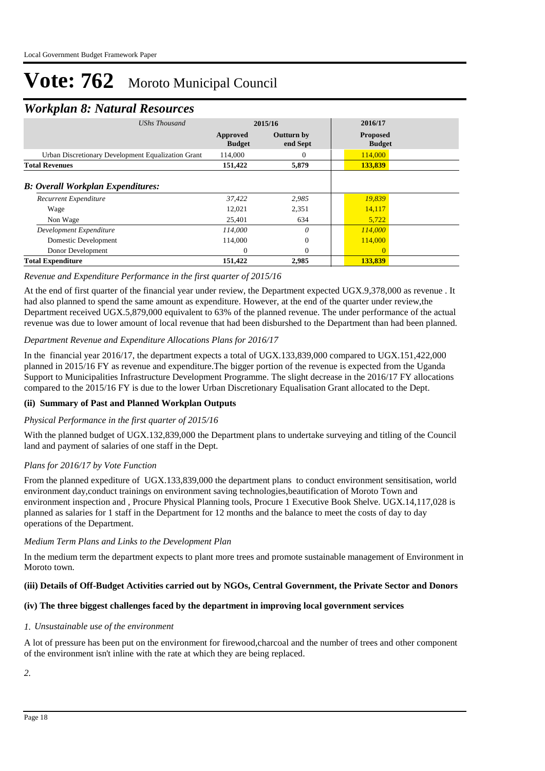# *Workplan 8: Natural Resources*

| UShs Thousand                                      | 2015/16                   |                               | 2016/17                          |  |
|----------------------------------------------------|---------------------------|-------------------------------|----------------------------------|--|
|                                                    | Approved<br><b>Budget</b> | <b>Outturn by</b><br>end Sept | <b>Proposed</b><br><b>Budget</b> |  |
| Urban Discretionary Development Equalization Grant | 114,000                   | 0                             | 114,000                          |  |
| <b>Total Revenues</b>                              | 151,422                   | 5,879                         | 133,839                          |  |
| <b>B: Overall Workplan Expenditures:</b>           |                           |                               |                                  |  |
| Recurrent Expenditure                              | 37,422                    | 2,985                         | 19,839                           |  |
| Wage                                               | 12,021                    | 2,351                         | 14,117                           |  |
| Non Wage                                           | 25,401                    | 634                           | 5,722                            |  |
| Development Expenditure                            | 114,000                   | $\theta$                      | 114,000                          |  |
| Domestic Development                               | 114,000                   | $\theta$                      | 114,000                          |  |
| Donor Development                                  | $\Omega$                  | $\Omega$                      | $\Omega$                         |  |
| <b>Total Expenditure</b>                           | 151,422                   | 2,985                         | 133,839                          |  |

## *Revenue and Expenditure Performance in the first quarter of 2015/16*

At the end of first quarter of the financial year under review, the Department expected UGX.9,378,000 as revenue . It had also planned to spend the same amount as expenditure. However, at the end of the quarter under review,the Department received UGX.5,879,000 equivalent to 63% of the planned revenue. The under performance of the actual revenue was due to lower amount of local revenue that had been disburshed to the Department than had been planned.

#### *Department Revenue and Expenditure Allocations Plans for 2016/17*

In the financial year 2016/17, the department expects a total of UGX.133,839,000 compared to UGX.151,422,000 planned in 2015/16 FY as revenue and expenditure.The bigger portion of the revenue is expected from the Uganda Support to Municipalities Infrastructure Development Programme. The slight decrease in the 2016/17 FY allocations compared to the 2015/16 FY is due to the lower Urban Discretionary Equalisation Grant allocated to the Dept.

## **(ii) Summary of Past and Planned Workplan Outputs**

#### *Physical Performance in the first quarter of 2015/16*

With the planned budget of UGX.132,839,000 the Department plans to undertake surveying and titling of the Council land and payment of salaries of one staff in the Dept.

## *Plans for 2016/17 by Vote Function*

From the planned expediture of UGX.133,839,000 the department plans to conduct environment sensitisation, world environment day,conduct trainings on environment saving technologies,beautification of Moroto Town and environment inspection and , Procure Physical Planning tools, Procure 1 Executive Book Shelve. UGX.14,117,028 is planned as salaries for 1 staff in the Department for 12 months and the balance to meet the costs of day to day operations of the Department.

#### *Medium Term Plans and Links to the Development Plan*

In the medium term the department expects to plant more trees and promote sustainable management of Environment in Moroto town.

#### **(iii) Details of Off-Budget Activities carried out by NGOs, Central Government, the Private Sector and Donors**

#### **(iv) The three biggest challenges faced by the department in improving local government services**

#### *Unsustainable use of the environment 1.*

A lot of pressure has been put on the environment for firewood,charcoal and the number of trees and other component of the environment isn't inline with the rate at which they are being replaced.

*2.*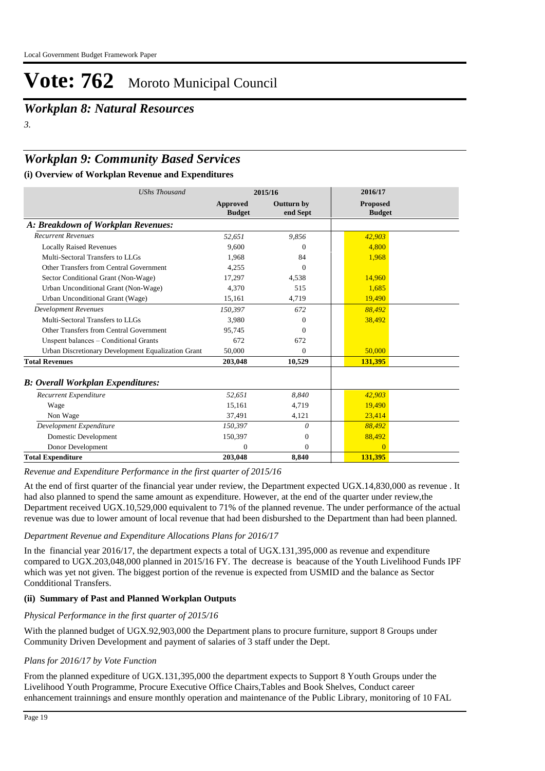*Workplan 8: Natural Resources*

*3.*

# *Workplan 9: Community Based Services*

## **(i) Overview of Workplan Revenue and Expenditures**

| <b>UShs Thousand</b>                               | 2015/16                   |                        | 2016/17                          |  |
|----------------------------------------------------|---------------------------|------------------------|----------------------------------|--|
|                                                    | Approved<br><b>Budget</b> | Outturn by<br>end Sept | <b>Proposed</b><br><b>Budget</b> |  |
| A: Breakdown of Workplan Revenues:                 |                           |                        |                                  |  |
| <b>Recurrent Revenues</b>                          | 52,651                    | 9,856                  | 42,903                           |  |
| <b>Locally Raised Revenues</b>                     | 9.600                     | $\Omega$               | 4,800                            |  |
| Multi-Sectoral Transfers to LLGs                   | 1,968                     | 84                     | 1,968                            |  |
| Other Transfers from Central Government            | 4.255                     | $\Omega$               |                                  |  |
| Sector Conditional Grant (Non-Wage)                | 17,297                    | 4,538                  | 14,960                           |  |
| Urban Unconditional Grant (Non-Wage)               | 4.370                     | 515                    | 1.685                            |  |
| Urban Unconditional Grant (Wage)                   | 15,161                    | 4,719                  | 19,490                           |  |
| <b>Development Revenues</b>                        | 150,397                   | 672                    | 88,492                           |  |
| Multi-Sectoral Transfers to LLGs                   | 3.980                     | $\Omega$               | 38,492                           |  |
| Other Transfers from Central Government            | 95.745                    | $\Omega$               |                                  |  |
| Unspent balances - Conditional Grants              | 672                       | 672                    |                                  |  |
| Urban Discretionary Development Equalization Grant | 50,000                    | $\Omega$               | 50,000                           |  |
| <b>Total Revenues</b>                              | 203,048                   | 10,529                 | 131,395                          |  |
| <b>B</b> : Overall Workplan Expenditures:          |                           |                        |                                  |  |
| Recurrent Expenditure                              | 52,651                    | 8,840                  | 42,903                           |  |
| Wage                                               | 15,161                    | 4,719                  | 19,490                           |  |
| Non Wage                                           | 37,491                    | 4,121                  | 23.414                           |  |
| Development Expenditure                            | 150,397                   | 0                      | 88,492                           |  |
| Domestic Development                               | 150,397                   | $\Omega$               | 88,492                           |  |
| Donor Development                                  | $\Omega$                  | $\Omega$               | $\Omega$                         |  |
| <b>Total Expenditure</b>                           | 203,048                   | 8,840                  | 131,395                          |  |

*Revenue and Expenditure Performance in the first quarter of 2015/16*

At the end of first quarter of the financial year under review, the Department expected UGX.14,830,000 as revenue . It had also planned to spend the same amount as expenditure. However, at the end of the quarter under review, the Department received UGX.10,529,000 equivalent to 71% of the planned revenue. The under performance of the actual revenue was due to lower amount of local revenue that had been disburshed to the Department than had been planned.

## *Department Revenue and Expenditure Allocations Plans for 2016/17*

In the financial year 2016/17, the department expects a total of UGX.131,395,000 as revenue and expenditure compared to UGX.203,048,000 planned in 2015/16 FY. The decrease is beacause of the Youth Livelihood Funds IPF which was yet not given. The biggest portion of the revenue is expected from USMID and the balance as Sector Condditional Transfers.

## **(ii) Summary of Past and Planned Workplan Outputs**

## *Physical Performance in the first quarter of 2015/16*

With the planned budget of UGX.92,903,000 the Department plans to procure furniture, support 8 Groups under Community Driven Development and payment of salaries of 3 staff under the Dept.

## *Plans for 2016/17 by Vote Function*

From the planned expediture of UGX.131,395,000 the department expects to Support 8 Youth Groups under the Livelihood Youth Programme, Procure Executive Office Chairs,Tables and Book Shelves, Conduct career enhancement trainnings and ensure monthly operation and maintenance of the Public Library, monitoring of 10 FAL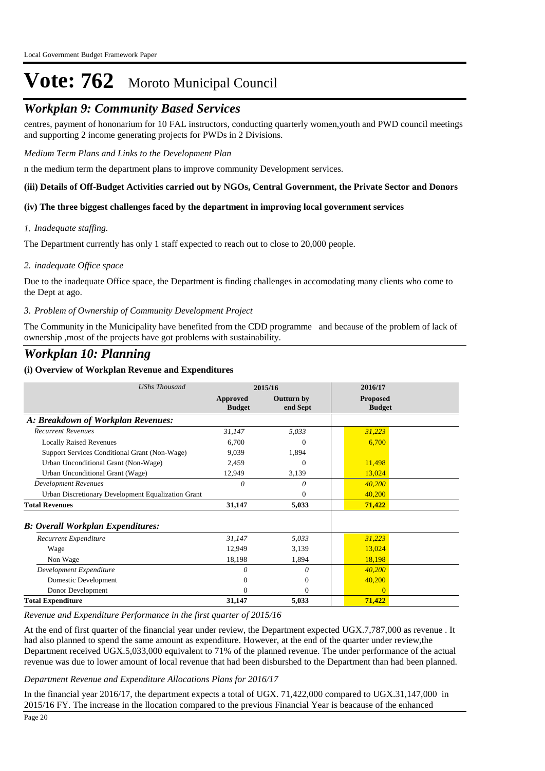# *Workplan 9: Community Based Services*

centres, payment of hononarium for 10 FAL instructors, conducting quarterly women,youth and PWD council meetings and supporting 2 income generating projects for PWDs in 2 Divisions.

#### *Medium Term Plans and Links to the Development Plan*

n the medium term the department plans to improve community Development services.

#### **(iii) Details of Off-Budget Activities carried out by NGOs, Central Government, the Private Sector and Donors**

#### **(iv) The three biggest challenges faced by the department in improving local government services**

#### *Inadequate staffing. 1.*

The Department currently has only 1 staff expected to reach out to close to 20,000 people.

#### *inadequate Office space 2.*

Due to the inadequate Office space, the Department is finding challenges in accomodating many clients who come to the Dept at ago.

#### *Problem of Ownership of Community Development Project 3.*

The Community in the Municipality have benefited from the CDD programme and because of the problem of lack of ownership ,most of the projects have got problems with sustainability.

# *Workplan 10: Planning*

#### **(i) Overview of Workplan Revenue and Expenditures**

| <b>UShs Thousand</b>                               | 2015/16                   |                               | 2016/17                          |  |
|----------------------------------------------------|---------------------------|-------------------------------|----------------------------------|--|
|                                                    | Approved<br><b>Budget</b> | <b>Outturn by</b><br>end Sept | <b>Proposed</b><br><b>Budget</b> |  |
| A: Breakdown of Workplan Revenues:                 |                           |                               |                                  |  |
| <b>Recurrent Revenues</b>                          | 31,147                    | 5,033                         | 31,223                           |  |
| <b>Locally Raised Revenues</b>                     | 6,700                     | 0                             | 6,700                            |  |
| Support Services Conditional Grant (Non-Wage)      | 9,039                     | 1,894                         |                                  |  |
| Urban Unconditional Grant (Non-Wage)               | 2,459                     | $\Omega$                      | 11,498                           |  |
| Urban Unconditional Grant (Wage)                   | 12,949                    | 3,139                         | 13,024                           |  |
| <b>Development Revenues</b>                        | $\Omega$                  | 0                             | 40,200                           |  |
| Urban Discretionary Development Equalization Grant |                           | 0                             | 40,200                           |  |
| <b>Total Revenues</b>                              | 31,147                    | 5,033                         | 71,422                           |  |
| <b>B: Overall Workplan Expenditures:</b>           |                           |                               |                                  |  |
| Recurrent Expenditure                              | 31,147                    | 5,033                         | 31,223                           |  |
| Wage                                               | 12,949                    | 3,139                         | 13,024                           |  |
| Non Wage                                           | 18,198                    | 1,894                         | 18,198                           |  |
| Development Expenditure                            | 0                         | 0                             | 40,200                           |  |
| Domestic Development                               | $\Omega$                  | $\overline{0}$                | 40,200                           |  |
| Donor Development                                  | $\Omega$                  | $\Omega$                      | $\Omega$                         |  |
| <b>Total Expenditure</b>                           | 31,147                    | 5,033                         | 71,422                           |  |

#### *Revenue and Expenditure Performance in the first quarter of 2015/16*

At the end of first quarter of the financial year under review, the Department expected UGX.7,787,000 as revenue . It had also planned to spend the same amount as expenditure. However, at the end of the quarter under review,the Department received UGX.5,033,000 equivalent to 71% of the planned revenue. The under performance of the actual revenue was due to lower amount of local revenue that had been disburshed to the Department than had been planned.

#### *Department Revenue and Expenditure Allocations Plans for 2016/17*

In the financial year 2016/17, the department expects a total of UGX. 71,422,000 compared to UGX.31,147,000 in 2015/16 FY. The increase in the llocation compared to the previous Financial Year is beacause of the enhanced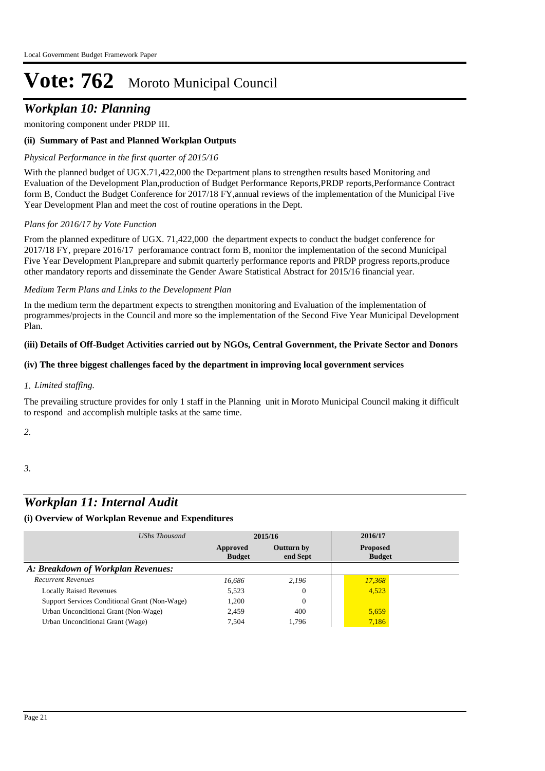# *Workplan 10: Planning*

monitoring component under PRDP III.

## **(ii) Summary of Past and Planned Workplan Outputs**

## *Physical Performance in the first quarter of 2015/16*

With the planned budget of UGX.71,422,000 the Department plans to strengthen results based Monitoring and Evaluation of the Development Plan,production of Budget Performance Reports,PRDP reports,Performance Contract form B, Conduct the Budget Conference for 2017/18 FY,annual reviews of the implementation of the Municipal Five Year Development Plan and meet the cost of routine operations in the Dept.

## *Plans for 2016/17 by Vote Function*

From the planned expediture of UGX. 71,422,000 the department expects to conduct the budget conference for 2017/18 FY, prepare 2016/17 perforamance contract form B, monitor the implementation of the second Municipal Five Year Development Plan,prepare and submit quarterly performance reports and PRDP progress reports,produce other mandatory reports and disseminate the Gender Aware Statistical Abstract for 2015/16 financial year.

#### *Medium Term Plans and Links to the Development Plan*

In the medium term the department expects to strengthen monitoring and Evaluation of the implementation of programmes/projects in the Council and more so the implementation of the Second Five Year Municipal Development Plan.

#### **(iii) Details of Off-Budget Activities carried out by NGOs, Central Government, the Private Sector and Donors**

#### **(iv) The three biggest challenges faced by the department in improving local government services**

## *Limited staffing. 1.*

The prevailing structure provides for only 1 staff in the Planning unit in Moroto Municipal Council making it difficult to respond and accomplish multiple tasks at the same time.

*2.*

#### *3.*

# *Workplan 11: Internal Audit*

| UShs Thousand                                 | 2015/16                   |                        | 2016/17                          |  |
|-----------------------------------------------|---------------------------|------------------------|----------------------------------|--|
|                                               | Approved<br><b>Budget</b> | Outturn by<br>end Sept | <b>Proposed</b><br><b>Budget</b> |  |
| A: Breakdown of Workplan Revenues:            |                           |                        |                                  |  |
| <b>Recurrent Revenues</b>                     | 16,686                    | 2.196                  | 17,368                           |  |
| <b>Locally Raised Revenues</b>                | 5,523                     | $\Omega$               | 4.523                            |  |
| Support Services Conditional Grant (Non-Wage) | 1.200                     | $\Omega$               |                                  |  |
| Urban Unconditional Grant (Non-Wage)          | 2,459                     | 400                    | 5,659                            |  |
| Urban Unconditional Grant (Wage)              | 7.504                     | 1.796                  | 7,186                            |  |